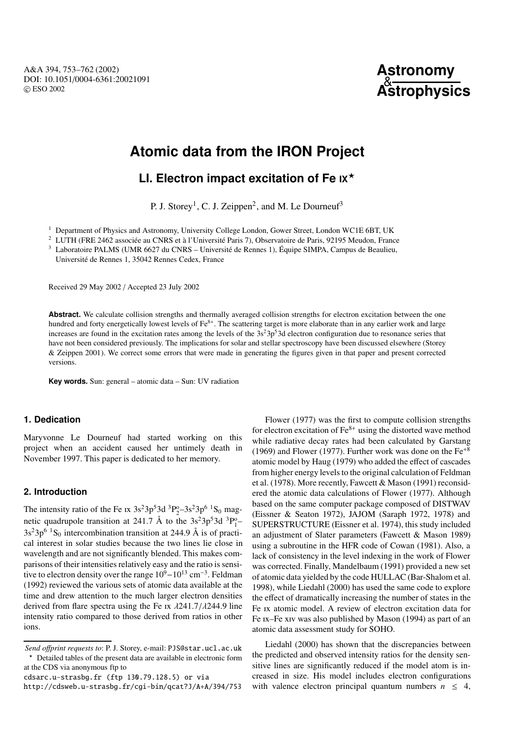

# **Atomic data from the IRON Project**

# **LI. Electron impact excitation of Fe IX**?

P. J. Storey<sup>1</sup>, C. J. Zeippen<sup>2</sup>, and M. Le Dourneuf<sup>3</sup>

<sup>1</sup> Department of Physics and Astronomy, University College London, Gower Street, London WC1E 6BT, UK

<sup>2</sup> LUTH (FRE 2462 associée au CNRS et à l'Université Paris 7), Observatoire de Paris, 92195 Meudon, France

<sup>3</sup> Laboratoire PALMS (UMR 6627 du CNRS – Université de Rennes 1), Équipe SIMPA, Campus de Beaulieu,

Université de Rennes 1, 35042 Rennes Cedex, France

Received 29 May 2002 / Accepted 23 July 2002

**Abstract.** We calculate collision strengths and thermally averaged collision strengths for electron excitation between the one hundred and forty energetically lowest levels of  $Fe<sup>8+</sup>$ . The scattering target is more elaborate than in any earlier work and large increases are found in the excitation rates among the levels of the  $3s<sup>2</sup>3p<sup>5</sup>3d$  electron configuration due to resonance series that have not been considered previously. The implications for solar and stellar spectroscopy have been discussed elsewhere (Storey & Zeippen 2001). We correct some errors that were made in generating the figures given in that paper and present corrected versions.

**Key words.** Sun: general – atomic data – Sun: UV radiation

# **1. Dedication**

Maryvonne Le Dourneuf had started working on this project when an accident caused her untimely death in November 1997. This paper is dedicated to her memory.

# **2. Introduction**

The intensity ratio of the Fe ix  $3s^23p^53d^3P_2^6-3s^23p^6$  <sup>1</sup>S<sub>0</sub> magnetic quadrupole transition at 241.7 Å to the  $3s^23p^53d^3P_1^o$  $3s^23p^6$ <sup>1</sup>S<sub>0</sub> intercombination transition at 244.9 Å is of practical interest in solar studies because the two lines lie close in wavelength and are not significantly blended. This makes comparisons of their intensities relatively easy and the ratio is sensitive to electron density over the range  $10^9-10^{13}$  cm<sup>-3</sup>. Feldman (1992) reviewed the various sets of atomic data available at the time and drew attention to the much larger electron densities derived from flare spectra using the Fe Ix  $\lambda$ 241.7/ $\lambda$ 244.9 line intensity ratio compared to those derived from ratios in other ions.

cdsarc.u-strasbg.fr (ftp 130.79.128.5) or via

Flower (1977) was the first to compute collision strengths for electron excitation of  $Fe<sup>8+</sup>$  using the distorted wave method while radiative decay rates had been calculated by Garstang (1969) and Flower (1977). Further work was done on the  $Fe^{+8}$ atomic model by Haug (1979) who added the effect of cascades from higher energy levels to the original calculation of Feldman et al. (1978). More recently, Fawcett & Mason (1991) reconsidered the atomic data calculations of Flower (1977). Although based on the same computer package composed of DISTWAV (Eissner & Seaton 1972), JAJOM (Saraph 1972, 1978) and SUPERSTRUCTURE (Eissner et al. 1974), this study included an adjustment of Slater parameters (Fawcett & Mason 1989) using a subroutine in the HFR code of Cowan (1981). Also, a lack of consistency in the level indexing in the work of Flower was corrected. Finally, Mandelbaum (1991) provided a new set of atomic data yielded by the code HULLAC (Bar-Shalom et al. 1998), while Liedahl (2000) has used the same code to explore the effect of dramatically increasing the number of states in the Fe ix atomic model. A review of electron excitation data for Fe IX–Fe xIV was also published by Mason (1994) as part of an atomic data assessment study for SOHO.

Liedahl (2000) has shown that the discrepancies between the predicted and observed intensity ratios for the density sensitive lines are significantly reduced if the model atom is increased in size. His model includes electron configurations with valence electron principal quantum numbers  $n \leq 4$ ,

*Send o*ff*print requests to*: P. J. Storey, e-mail: PJS@star.ucl.ac.uk ? Detailed tables of the present data are available in electronic form at the CDS via anonymous ftp to

http://cdsweb.u-strasbg.fr/cgi-bin/qcat?J/A+A/394/753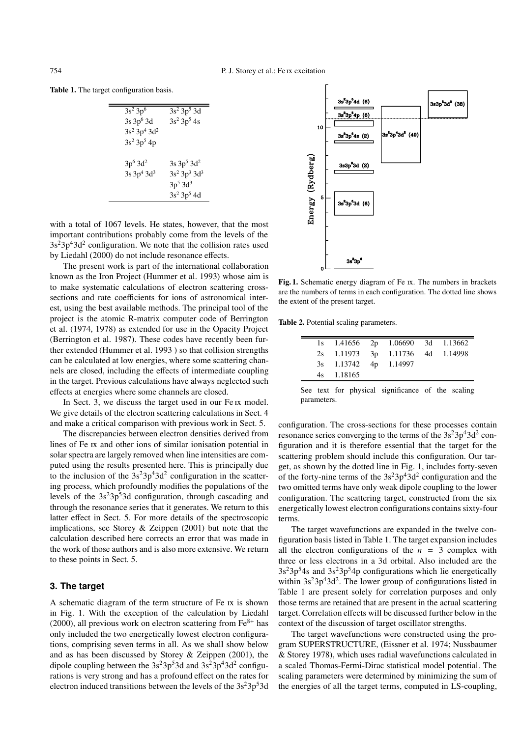Table 1. The target configuration basis.

| $3s^2 3p^6$              | $3s^2 3p^5 3d$   |
|--------------------------|------------------|
| $3s3p^63d$               | $3s^2 3p^5 4s$   |
| $3s^2 3p^4 3d^2$         |                  |
| $3s^2 3p^5 4p$           |                  |
|                          |                  |
| $3p^{6}$ 3d <sup>2</sup> | $3s\,3p^5\,3d^2$ |
| $3s\,3p^4\,3d^3$         | $3s^2 3p^3 3d^3$ |
|                          | $3p^5$ $3d^3$    |
|                          | $3s^2 3p^5 4d$   |

with a total of 1067 levels. He states, however, that the most important contributions probably come from the levels of the  $3s<sup>2</sup>3p<sup>4</sup>3d<sup>2</sup>$  configuration. We note that the collision rates used by Liedahl (2000) do not include resonance effects.

The present work is part of the international collaboration known as the Iron Project (Hummer et al. 1993) whose aim is to make systematic calculations of electron scattering crosssections and rate coefficients for ions of astronomical interest, using the best available methods. The principal tool of the project is the atomic R-matrix computer code of Berrington et al. (1974, 1978) as extended for use in the Opacity Project (Berrington et al. 1987). These codes have recently been further extended (Hummer et al. 1993 ) so that collision strengths can be calculated at low energies, where some scattering channels are closed, including the effects of intermediate coupling in the target. Previous calculations have always neglected such effects at energies where some channels are closed.

In Sect. 3, we discuss the target used in our Fe Ix model. We give details of the electron scattering calculations in Sect. 4 and make a critical comparison with previous work in Sect. 5.

The discrepancies between electron densities derived from lines of Fe Ix and other ions of similar ionisation potential in solar spectra are largely removed when line intensities are computed using the results presented here. This is principally due to the inclusion of the  $3s^23p^43d^2$  configuration in the scattering process, which profoundly modifies the populations of the levels of the  $3s<sup>2</sup>3p<sup>5</sup>3d$  configuration, through cascading and through the resonance series that it generates. We return to this latter effect in Sect. 5. For more details of the spectroscopic implications, see Storey & Zeippen (2001) but note that the calculation described here corrects an error that was made in the work of those authors and is also more extensive. We return to these points in Sect. 5.

# **3. The target**

A schematic diagram of the term structure of Fe is shown in Fig. 1. With the exception of the calculation by Liedahl (2000), all previous work on electron scattering from  $Fe<sup>8+</sup>$  has only included the two energetically lowest electron configurations, comprising seven terms in all. As we shall show below and as has been discussed by Storey & Zeippen (2001), the dipole coupling between the  $3s^23p^53d$  and  $3s^23p^43d^2$  configurations is very strong and has a profound effect on the rates for electron induced transitions between the levels of the  $3s<sup>2</sup>3p<sup>5</sup>3d$ 



Fig. 1. Schematic energy diagram of Fe Ix. The numbers in brackets are the numbers of terms in each configuration. The dotted line shows the extent of the present target.

Table 2. Potential scaling parameters.

|  |                       | 1s 1.41656 2p 1.06690 3d 1.13662 |  |
|--|-----------------------|----------------------------------|--|
|  |                       | 2s 1.11973 3p 1.11736 4d 1.14998 |  |
|  | 3s 1.13742 4p 1.14997 |                                  |  |
|  | 4s 1.18165            |                                  |  |
|  |                       |                                  |  |

See text for physical significance of the scaling parameters.

configuration. The cross-sections for these processes contain resonance series converging to the terms of the  $3s^23p^43d^2$  configuration and it is therefore essential that the target for the scattering problem should include this configuration. Our target, as shown by the dotted line in Fig. 1, includes forty-seven of the forty-nine terms of the  $3s^23p^43d^2$  configuration and the two omitted terms have only weak dipole coupling to the lower configuration. The scattering target, constructed from the six energetically lowest electron configurations contains sixty-four terms.

The target wavefunctions are expanded in the twelve configuration basis listed in Table 1. The target expansion includes all the electron configurations of the  $n = 3$  complex with three or less electrons in a 3d orbital. Also included are the  $3s<sup>2</sup>3p<sup>5</sup>4s$  and  $3s<sup>2</sup>3p<sup>5</sup>4p$  configurations which lie energetically within  $3s^23p^43d^2$ . The lower group of configurations listed in Table 1 are present solely for correlation purposes and only those terms are retained that are present in the actual scattering target. Correlation effects will be discussed further below in the context of the discussion of target oscillator strengths.

The target wavefunctions were constructed using the program SUPERSTRUCTURE, (Eissner et al. 1974; Nussbaumer & Storey 1978), which uses radial wavefunctions calculated in a scaled Thomas-Fermi-Dirac statistical model potential. The scaling parameters were determined by minimizing the sum of the energies of all the target terms, computed in LS-coupling,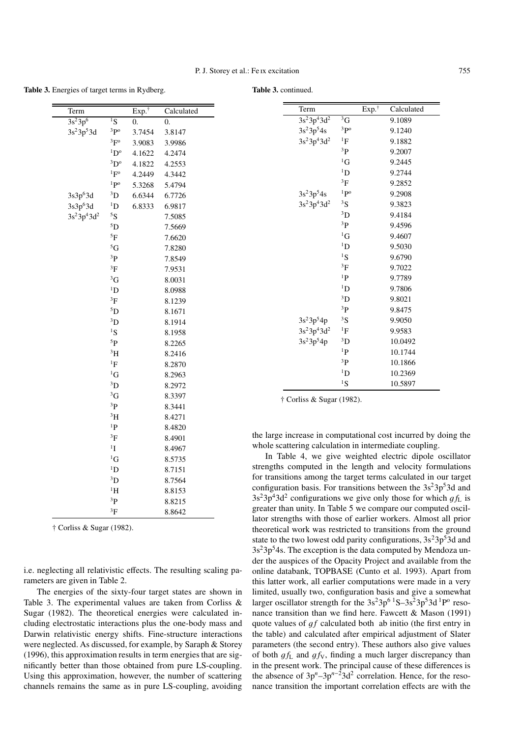Table 3. Energies of target terms in Rydberg.

Table 3. continued.

| Term                 |                        | $Exp.$ <sup>†</sup> | Calculated | Term                                                 |                   | $Exp.^{\dagger}$ | Calculated |  |
|----------------------|------------------------|---------------------|------------|------------------------------------------------------|-------------------|------------------|------------|--|
| $3s^23p^6$           | $\overline{^{1}S}$     | $\overline{0}$ .    | $\theta$ . | $3s^23p^43d^2$                                       | ${}^{3}G$         |                  | 9.1089     |  |
| $3s^23p^53d$         | $3p$ <sup>o</sup>      | 3.7454              | 3.8147     | $3s^23p^54s$                                         | $3p$ <sup>o</sup> |                  | 9.1240     |  |
|                      | ${}^{3}F^{o}$          | 3.9083              | 3.9986     | $3s^23p^43d^2$                                       | ${}^{1}F$         |                  | 9.1882     |  |
|                      | $\rm^{1}D^{o}$         | 4.1622              | 4.2474     |                                                      | ${}^{3}P$         |                  | 9.2007     |  |
|                      | ${}^{3}D^{o}$          | 4.1822              | 4.2553     |                                                      | ${}^{1}G$         |                  | 9.2445     |  |
|                      | $1\text{F}^{\text{o}}$ | 4.2449              | 4.3442     |                                                      | $\rm ^1D$         |                  | 9.2744     |  |
|                      | $1p^0$                 | 5.3268              | 5.4794     |                                                      | ${}^{3}F$         |                  | 9.2852     |  |
| 3s3p <sup>6</sup> 3d | ${}^{3}D$              | 6.6344              | 6.7726     | $3s^23p^54s$                                         | 1P <sup>o</sup>   |                  | 9.2908     |  |
| 3s3p <sup>6</sup> 3d | $\mathrm{^{1}D}$       | 6.8333              | 6.9817     | $3s^23p^43d^2$                                       | ${}^{3}S$         |                  | 9.3823     |  |
| $3s^23p^43d^2$       | ${}^5S$                |                     | 7.5085     |                                                      | ${}^{3}D$         |                  | 9.4184     |  |
|                      | ${}^{5}D$              |                     | 7.5669     |                                                      | $^{3}P$           |                  | 9.4596     |  |
|                      | $^5\mathrm{F}$         |                     | 7.6620     |                                                      | ${}^{1}G$         |                  | 9.4607     |  |
|                      | ${}^{5}G$              |                     | 7.8280     |                                                      | $\rm ^1D$         |                  | 9.5030     |  |
|                      | ${}^{3}P$              |                     | 7.8549     |                                                      | ${}^{1}S$         |                  | 9.6790     |  |
|                      | $^3\mathrm{F}$         |                     | 7.9531     |                                                      | ${}^{3}F$         |                  | 9.7022     |  |
|                      | ${}^{3}G$              |                     | 8.0031     |                                                      | ${}^{1}P$         |                  | 9.7789     |  |
|                      | ${}^{1}D$              |                     | 8.0988     |                                                      | ${}^{1}D$         |                  | 9.7806     |  |
|                      | ${}^{3}F$              |                     | 8.1239     |                                                      | ${}^{3}D$         |                  | 9.8021     |  |
|                      | ${}^{5}D$              |                     | 8.1671     |                                                      | $^{3}P$           |                  | 9.8475     |  |
|                      | ${}^{3}D$              |                     | 8.1914     | $3s^23p^54p$                                         | 3S                |                  | 9.9050     |  |
|                      | ${}^{1}S$              |                     | 8.1958     | $3s^23p^43d^2$                                       | ${}^{1}F$         |                  | 9.9583     |  |
|                      | 5 <sub>P</sub>         |                     | 8.2265     | $3s^23p^54p$                                         | ${}^{3}D$         |                  | 10.0492    |  |
|                      | 3H                     |                     | 8.2416     |                                                      | ${}^{1}P$         |                  | 10.1744    |  |
|                      | ${}^1\mathrm{F}$       |                     | 8.2870     |                                                      | ${}^{3}P$         |                  | 10.1866    |  |
|                      | ${}^{1}G$              |                     | 8.2963     |                                                      | ${}^{1}D$         |                  | 10.2369    |  |
|                      | ${}^{3}D$              |                     | 8.2972     |                                                      | ${}^{1}S$         |                  | 10.5897    |  |
|                      | ${}^{3}G$              |                     | 8.3397     | $\uparrow$ Corliss & Sugar (1982).                   |                   |                  |            |  |
|                      | 3P                     |                     | 8.3441     |                                                      |                   |                  |            |  |
|                      | $\rm ^3H$              |                     | 8.4271     |                                                      |                   |                  |            |  |
|                      | ${}^{1}P$              |                     | 8.4820     |                                                      |                   |                  |            |  |
|                      | 3F                     |                     | 8.4901     | the large increase in computational cost incurred by |                   |                  |            |  |

the large increase in computational cost incurred by doing the whole scattering calculation in intermediate coupling.

In Table 4, we give weighted electric dipole oscillator strengths computed in the length and velocity formulations for transitions among the target terms calculated in our target configuration basis. For transitions between the  $3s<sup>2</sup>3p<sup>5</sup>3d$  and  $3s<sup>2</sup>3p<sup>4</sup>3d<sup>2</sup>$  configurations we give only those for which  $q f_L$  is greater than unity. In Table 5 we compare our computed oscillator strengths with those of earlier workers. Almost all prior theoretical work was restricted to transitions from the ground state to the two lowest odd parity configurations,  $3s<sup>2</sup>3p<sup>5</sup>3d$  and  $3s<sup>2</sup>3p<sup>5</sup>4s$ . The exception is the data computed by Mendoza under the auspices of the Opacity Project and available from the online databank, TOPBASE (Cunto et al. 1993). Apart from this latter work, all earlier computations were made in a very limited, usually two, configuration basis and give a somewhat larger oscillator strength for the  $3s^23p^6$ <sup>1</sup>S–3s<sup>2</sup>3p<sup>5</sup>3d<sup>1</sup>P<sup>o</sup> resonance transition than we find here. Fawcett & Mason (1991) quote values of *qf* calculated both ab initio (the first entry in the table) and calculated after empirical adjustment of Slater parameters (the second entry). These authors also give values of both  $gf_L$  and  $gf_V$ , finding a much larger discrepancy than in the present work. The principal cause of these differences is the absence of 3p*<sup>n</sup>*–3p*<sup>n</sup>*−23d2 correlation. Hence, for the resonance transition the important correlation effects are with the

† Corliss & Sugar (1982).

i.e. neglecting all relativistic effects. The resulting scaling parameters are given in Table 2.

 $1$ <sup>1</sup>I 8.4967  ${}^{1}G$  8.5735 <sup>1</sup>D 8.7151 <sup>3</sup>D 8.7564  ${}^{1}$ H 8.8153 <sup>3</sup>P 8.8215  ${}^{3}F$  8.8642

The energies of the sixty-four target states are shown in Table 3. The experimental values are taken from Corliss & Sugar (1982). The theoretical energies were calculated including electrostatic interactions plus the one-body mass and Darwin relativistic energy shifts. Fine-structure interactions were neglected. As discussed, for example, by Saraph & Storey (1996), this approximation results in term energies that are significantly better than those obtained from pure LS-coupling. Using this approximation, however, the number of scattering channels remains the same as in pure LS-coupling, avoiding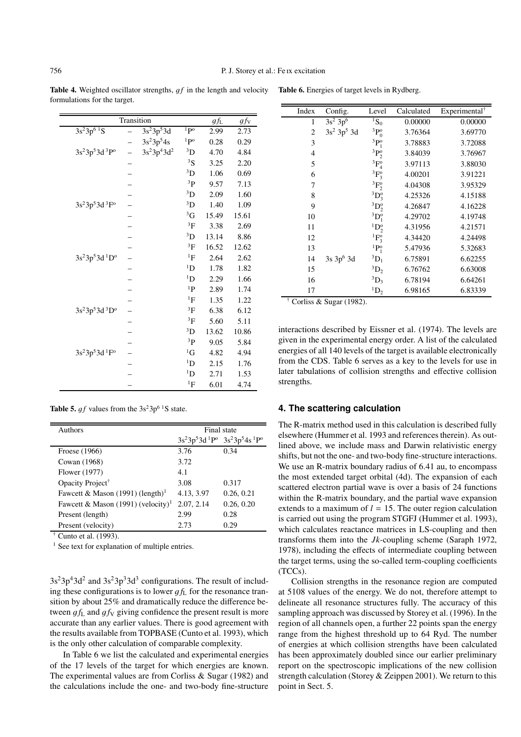Table 4. Weighted oscillator strengths,  $gf$  in the length and velocity formulations for the target.

|                                                    | Transition |                |                 | $g f_{\rm L}$ | $gf_{\rm V}$ |
|----------------------------------------------------|------------|----------------|-----------------|---------------|--------------|
| $3s^23p^6$ <sup>1</sup> S                          |            | $3s^23p^53d$   | 1p <sub>0</sub> | 2.99          | 2.73         |
|                                                    |            | $3s^23p^54s$   | $1P^{\rm o}$    | 0.28          | 0.29         |
| $3s^23p^53d^3P^0$                                  |            | $3s^23p^43d^2$ | $\rm^{3}D$      | 4.70          | 4.84         |
|                                                    |            |                | 3S              | 3.25          | 2.20         |
|                                                    |            |                | $\rm ^3D$       | 1.06          | 0.69         |
|                                                    |            |                | ${}^{3}P$       | 9.57          | 7.13         |
|                                                    |            |                | ${}^{3}D$       | 2.09          | 1.60         |
| 3s <sup>2</sup> 3p <sup>5</sup> 3d <sup>3</sup> F° |            |                | ${}^{3}D$       | 1.40          | 1.09         |
|                                                    |            |                | ${}^{3}G$       | 15.49         | 15.61        |
|                                                    |            |                | ${}^{3}F$       | 3.38          | 2.69         |
|                                                    |            |                | $^3\mathrm{D}$  | 13.14         | 8.86         |
|                                                    |            |                | ${}^{3}F$       | 16.52         | 12.62        |
| 3s <sup>2</sup> 3p <sup>5</sup> 3d <sup>1</sup> D° |            |                | ${}^{1}F$       | 2.64          | 2.62         |
|                                                    |            |                | 1 <sub>D</sub>  | 1.78          | 1.82         |
|                                                    |            |                | $^1D$           | 2.29          | 1.66         |
|                                                    |            |                | ${}^{1}P$       | 2.89          | 1.74         |
|                                                    |            |                | ${}^{1}F$       | 1.35          | 1.22         |
| $3s^23p^53d~^3D^o$                                 |            |                | ${}^{3}F$       | 6.38          | 6.12         |
|                                                    |            |                | ${}^{3}F$       | 5.60          | 5.11         |
|                                                    |            |                | ${}^{3}D$       | 13.62         | 10.86        |
|                                                    |            |                | 3 <sub>P</sub>  | 9.05          | 5.84         |
| $3s^23p^53d$ <sup>1</sup> F <sup>o</sup>           |            |                | ${}^{1}G$       | 4.82          | 4.94         |
|                                                    |            |                | $\rm ^1D$       | 2.15          | 1.76         |
|                                                    |            |                | $\rm ^1D$       | 2.71          | 1.53         |
|                                                    |            |                | ${}^{1}F$       | 6.01          | 4.74         |

13  ${}^{1}P_{1}^{o}$ † Corliss & Sugar (1982).

interactions described by Eissner et al. (1974). The levels are given in the experimental energy order. A list of the calculated energies of all 140 levels of the target is available electronically from the CDS. Table 6 serves as a key to the levels for use in later tabulations of collision strengths and effective collision strengths.

# **4. The scattering calculation**

The R-matrix method used in this calculation is described fully elsewhere (Hummer et al. 1993 and references therein). As outlined above, we include mass and Darwin relativistic energy shifts, but not the one- and two-body fine-structure interactions. We use an R-matrix boundary radius of 6.41 au, to encompass the most extended target orbital (4d). The expansion of each scattered electron partial wave is over a basis of 24 functions within the R-matrix boundary, and the partial wave expansion extends to a maximum of  $l = 15$ . The outer region calculation is carried out using the program STGFJ (Hummer et al. 1993), which calculates reactance matrices in LS-coupling and then transforms them into the *Jk*-coupling scheme (Saraph 1972, 1978), including the effects of intermediate coupling between the target terms, using the so-called term-coupling coefficients (TCCs).

Collision strengths in the resonance region are computed at 5108 values of the energy. We do not, therefore attempt to delineate all resonance structures fully. The accuracy of this sampling approach was discussed by Storey et al. (1996). In the region of all channels open, a further 22 points span the energy range from the highest threshold up to 64 Ryd. The number of energies at which collision strengths have been calculated has been approximately doubled since our earlier preliminary report on the spectroscopic implications of the new collision strength calculation (Storey & Zeippen 2001). We return to this point in Sect. 5.

**Table 5.** *af* values from the  $3s^23p^6$ <sup>1</sup>S state.

| <b>Authors</b>                                 | Final state                         |            |  |  |
|------------------------------------------------|-------------------------------------|------------|--|--|
|                                                | $3s^23p^53d^1P^o$ $3s^23p^54s^1P^o$ |            |  |  |
| Froese (1966)                                  | 3.76                                | 0.34       |  |  |
| Cowan (1968)                                   | 3.72                                |            |  |  |
| Flower (1977)                                  | 4.1                                 |            |  |  |
| Opacity Project <sup>†</sup>                   | 3.08                                | 0.317      |  |  |
| Fawcett & Mason (1991) (length) <sup>1</sup>   | 4.13, 3.97                          | 0.26, 0.21 |  |  |
| Fawcett & Mason (1991) (velocity) <sup>1</sup> | 2.07, 2.14                          | 0.26, 0.20 |  |  |
| Present (length)                               | 2.99                                | 0.28       |  |  |
| Present (velocity)                             | 2.73                                | 0.29       |  |  |

 $<sup>†</sup>$  Cunto et al. (1993).</sup>

<sup>1</sup> See text for explanation of multiple entries.

 $3s^23p^43d^2$  and  $3s^23p^33d^3$  configurations. The result of including these configurations is to lower  $q f_L$  for the resonance transition by about 25% and dramatically reduce the difference between  $gf_L$  and  $gf_V$  giving confidence the present result is more accurate than any earlier values. There is good agreement with the results available from TOPBASE (Cunto et al. 1993), which is the only other calculation of comparable complexity.

In Table 6 we list the calculated and experimental energies of the 17 levels of the target for which energies are known. The experimental values are from Corliss & Sugar (1982) and the calculations include the one- and two-body fine-structure

| Index          | Config.                   | Level                | Calculated | Experimental <sup>†</sup> |
|----------------|---------------------------|----------------------|------------|---------------------------|
| 1              | $3s^2 3p^6$               | ${}^{1}S_{0}$        | 0.00000    | 0.00000                   |
| $\overline{2}$ | $3s^2$ 3p <sup>5</sup> 3d | ${}^3P_0^o$          | 3.76364    | 3.69770                   |
| 3              |                           | ${}^{3}P_1^o$        | 3.78883    | 3.72088                   |
| $\overline{4}$ |                           | ${}^3P_2^o$          | 3.84039    | 3.76967                   |
| 5              |                           | ${}^3F^o_4$          | 3.97113    | 3.88030                   |
| 6              |                           | ${}^3F^{\circ}_3$    | 4.00201    | 3.91221                   |
| 7              |                           | ${}^3F^0_2$          | 4.04308    | 3.95329                   |
| 8              |                           | ${}^3D_3^o$          | 4.25326    | 4.15188                   |
| 9              |                           | ${}^3D_2^o$          | 4.26847    | 4.16228                   |
| 10             |                           | ${}^3D_1^o$          | 4.29702    | 4.19748                   |
| 11             |                           | ${}^{1}D_{2}^{o}$    | 4.31956    | 4.21571                   |
| 12             |                           | ${}^1F^0_3$          | 4.34420    | 4.24498                   |
| 13             |                           | ${}^{1}P_{1}^{o}$    | 5.47936    | 5.32683                   |
| 14             | 3s 3p <sup>6</sup> 3d     | ${}^3D_1$            | 6.75891    | 6.62255                   |
| 15             |                           | ${}^3D_2$            | 6.76762    | 6.63008                   |
| 16             |                           | ${}^3D_3$            | 6.78194    | 6.64261                   |
| 17             |                           | $\mathrm{^{1}D_{2}}$ | 6.98165    | 6.83339                   |

Table 6. Energies of target levels in Rydberg.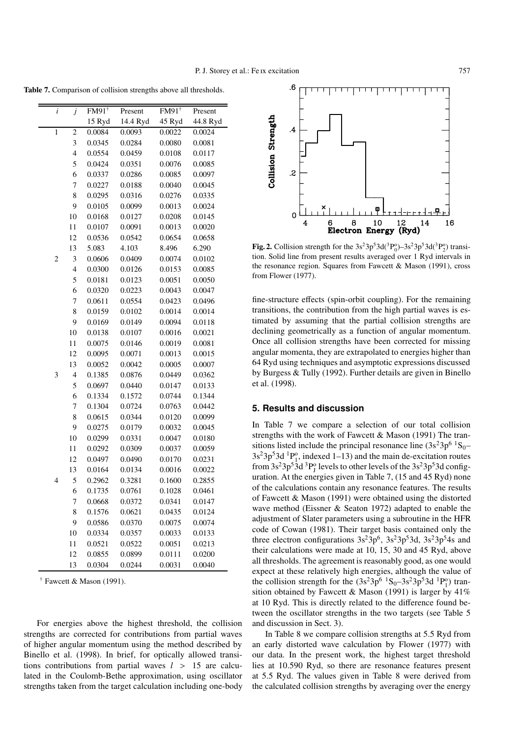.6

Table 7. Comparison of collision strengths above all thresholds.

| i              | j              | $FM91^{\dagger}$ | Present  | $FM91^{\dagger}$ | Present  |
|----------------|----------------|------------------|----------|------------------|----------|
|                |                | 15 Ryd           | 14.4 Ryd | 45 Ryd           | 44.8 Ryd |
| 1              | $\overline{c}$ | 0.0084           | 0.0093   | 0.0022           | 0.0024   |
|                | 3              | 0.0345           | 0.0284   | 0.0080           | 0.0081   |
|                | $\overline{4}$ | 0.0554           | 0.0459   | 0.0108           | 0.0117   |
|                | 5              | 0.0424           | 0.0351   | 0.0076           | 0.0085   |
|                | 6              | 0.0337           | 0.0286   | 0.0085           | 0.0097   |
|                | 7              | 0.0227           | 0.0188   | 0.0040           | 0.0045   |
|                | 8              | 0.0295           | 0.0316   | 0.0276           | 0.0335   |
|                | 9              | 0.0105           | 0.0099   | 0.0013           | 0.0024   |
|                | 10             | 0.0168           | 0.0127   | 0.0208           | 0.0145   |
|                | 11             | 0.0107           | 0.0091   | 0.0013           | 0.0020   |
|                | 12             | 0.0536           | 0.0542   | 0.0654           | 0.0658   |
|                | 13             | 5.083            | 4.103    | 8.496            | 6.290    |
| $\overline{c}$ | 3              | 0.0606           | 0.0409   | 0.0074           | 0.0102   |
|                | $\overline{4}$ | 0.0300           | 0.0126   | 0.0153           | 0.0085   |
|                | 5              | 0.0181           | 0.0123   | 0.0051           | 0.0050   |
|                | 6              | 0.0320           | 0.0223   | 0.0043           | 0.0047   |
|                | 7              | 0.0611           | 0.0554   | 0.0423           | 0.0496   |
|                | 8              | 0.0159           | 0.0102   | 0.0014           | 0.0014   |
|                | 9              | 0.0169           | 0.0149   | 0.0094           | 0.0118   |
|                | 10             | 0.0138           | 0.0107   | 0.0016           | 0.0021   |
|                | 11             | 0.0075           | 0.0146   | 0.0019           | 0.0081   |
|                | 12             | 0.0095           | 0.0071   | 0.0013           | 0.0015   |
|                | 13             | 0.0052           | 0.0042   | 0.0005           | 0.0007   |
| 3              | $\overline{4}$ | 0.1385           | 0.0876   | 0.0449           | 0.0362   |
|                | 5              | 0.0697           | 0.0440   | 0.0147           | 0.0133   |
|                | 6              | 0.1334           | 0.1572   | 0.0744           | 0.1344   |
|                | 7              | 0.1304           | 0.0724   | 0.0763           | 0.0442   |
|                | 8              | 0.0615           | 0.0344   | 0.0120           | 0.0099   |
|                | 9              | 0.0275           | 0.0179   | 0.0032           | 0.0045   |
|                | 10             | 0.0299           | 0.0331   | 0.0047           | 0.0180   |
|                | 11             | 0.0292           | 0.0309   | 0.0037           | 0.0059   |
|                | 12             | 0.0497           | 0.0490   | 0.0170           | 0.0231   |
|                | 13             | 0.0164           | 0.0134   | 0.0016           | 0.0022   |
| 4              | 5              | 0.2962           | 0.3281   | 0.1600           | 0.2855   |
|                | 6              | 0.1735           | 0.0761   | 0.1028           | 0.0461   |
|                | $\overline{7}$ | 0.0668           | 0.0372   | 0.0341           | 0.0147   |
|                | 8              | 0.1576           | 0.0621   | 0.0435           | 0.0124   |
|                | 9              | 0.0586           | 0.0370   | 0.0075           | 0.0074   |
|                | 10             | 0.0334           | 0.0357   | 0.0033           | 0.0133   |
|                | 11             | 0.0521           | 0.0522   | 0.0051           | 0.0213   |
|                | 12             | 0.0855           | 0.0899   | 0.0111           | 0.0200   |
|                | 13             | 0.0304           | 0.0244   | 0.0031           | 0.0040   |

 $\dagger$  Fawcett & Mason (1991).

For energies above the highest threshold, the collision strengths are corrected for contributions from partial waves of higher angular momentum using the method described by Binello et al. (1998). In brief, for optically allowed transitions contributions from partial waves  $l > 15$  are calculated in the Coulomb-Bethe approximation, using oscillator strengths taken from the target calculation including one-body

Collision Strength  $\cdot$  $\overline{c}$  $\Omega$ 10 8 12 6 14  $16$ Electron Energy (Ryd)

**Fig. 2.** Collision strength for the  $3s^23p^53d(^3P_0^0) - 3s^23p^53d(^3P_2^0)$  transi-<br>tion. Solid line from present results averaged over 1 Ryd intervals in tion. Solid line from present results averaged over 1 Ryd intervals in the resonance region. Squares from Fawcett & Mason (1991), cross from Flower (1977).

fine-structure effects (spin-orbit coupling). For the remaining transitions, the contribution from the high partial waves is estimated by assuming that the partial collision strengths are declining geometrically as a function of angular momentum. Once all collision strengths have been corrected for missing angular momenta, they are extrapolated to energies higher than 64 Ryd using techniques and asymptotic expressions discussed by Burgess & Tully (1992). Further details are given in Binello et al. (1998).

# **5. Results and discussion**

In Table 7 we compare a selection of our total collision strengths with the work of Fawcett & Mason (1991) The transitions listed include the principal resonance line  $(3s^23p^6)^1S_0$ –  $3s^23p^53d^1P_1^0$ , indexed 1–13) and the main de-excitation routes from  $3s^23p^53d^3P_J^o$  levels to other levels of the  $3s^23p^53d$  configuration. At the energies given in Table 7, (15 and 45 Ryd) none of the calculations contain any resonance features. The results of Fawcett & Mason (1991) were obtained using the distorted wave method (Eissner & Seaton 1972) adapted to enable the adjustment of Slater parameters using a subroutine in the HFR code of Cowan (1981). Their target basis contained only the three electron configurations  $3s^23p^6$ ,  $3s^23p^53d$ ,  $3s^23p^54s$  and their calculations were made at 10, 15, 30 and 45 Ryd, above all thresholds. The agreement is reasonably good, as one would expect at these relatively high energies, although the value of the collision strength for the  $(3s^23p^6 \tcdot 1S_0 - 3s^23p^53d \tcdot 1P_1^o)$  transition obtained by Fawcett & Mason (1991) is larger by  $41\%$ at 10 Ryd. This is directly related to the difference found between the oscillator strengths in the two targets (see Table 5 and discussion in Sect. 3).

In Table 8 we compare collision strengths at 5.5 Ryd from an early distorted wave calculation by Flower (1977) with our data. In the present work, the highest target threshold lies at 10.590 Ryd, so there are resonance features present at 5.5 Ryd. The values given in Table 8 were derived from the calculated collision strengths by averaging over the energy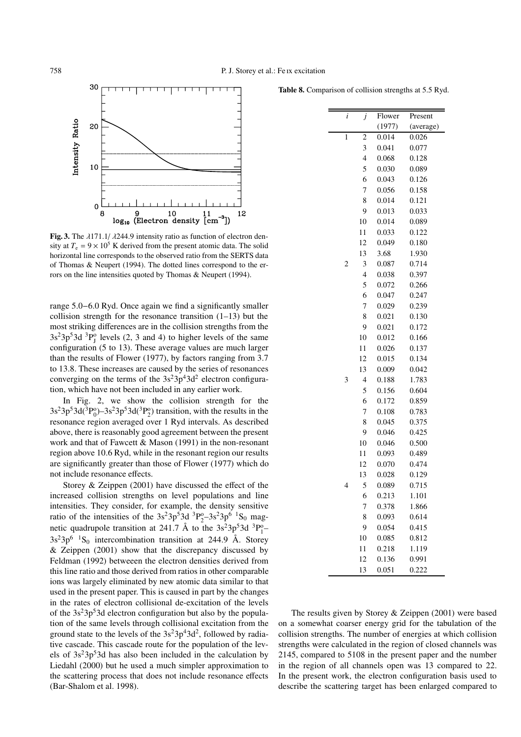

Fig. 3. The  $\lambda$ 171.1/ $\lambda$ 244.9 intensity ratio as function of electron density at  $T_e = 9 \times 10^5$  K derived from the present atomic data. The solid horizontal line corresponds to the observed ratio from the SERTS data of Thomas & Neupert (1994). The dotted lines correspond to the errors on the line intensities quoted by Thomas & Neupert (1994).

range 5.0−6.0 Ryd. Once again we find a significantly smaller collision strength for the resonance transition  $(1-13)$  but the most striking differences are in the collision strengths from the  $3s<sup>2</sup>3p<sup>5</sup>3d<sup>3</sup>P<sub>J</sub><sup>0</sup>$  levels (2, 3 and 4) to higher levels of the same configuration (5 to 13). These average values are much larger than the results of Flower (1977), by factors ranging from 3.7 to 13.8. These increases are caused by the series of resonances converging on the terms of the  $3s^23p^43d^2$  electron configuration, which have not been included in any earlier work.

In Fig. 2, we show the collision strength for the  $3s^23p^53d(^3P_0^0) - 3s^23p^53d(^3P_2^0)$  transition, with the results in the resonance region averaged over 1 Ryd intervals. As described above, there is reasonably good agreement between the present work and that of Fawcett & Mason (1991) in the non-resonant region above 10.6 Ryd, while in the resonant region our results are significantly greater than those of Flower (1977) which do not include resonance effects.

Storey & Zeippen (2001) have discussed the effect of the increased collision strengths on level populations and line intensities. They consider, for example, the density sensitive ratio of the intensities of the  $3s^23p^53d^{3}P_2^{\circ}-3s^23p^{6}{}^{1}S_0$  magnetic quadrupole transition at 241.7 Å to the  $3s^23p^53d^3P_1^o$  $3s<sup>2</sup>3p<sup>6</sup>$  <sup>1</sup>S<sub>0</sub> intercombination transition at 244.9 Å. Storey  $&$  Zeippen (2001) show that the discrepancy discussed by Feldman (1992) betweeen the electron densities derived from this line ratio and those derived from ratios in other comparable ions was largely eliminated by new atomic data similar to that used in the present paper. This is caused in part by the changes in the rates of electron collisional de-excitation of the levels of the  $3s<sup>2</sup>3p<sup>5</sup>3d$  electron configuration but also by the population of the same levels through collisional excitation from the ground state to the levels of the  $3s^23p^43d^2$ , followed by radiative cascade. This cascade route for the population of the levels of  $3s<sup>2</sup>3p<sup>5</sup>3d$  has also been included in the calculation by Liedahl (2000) but he used a much simpler approximation to the scattering process that does not include resonance effects (Bar-Shalom et al. 1998).

Table 8. Comparison of collision strengths at 5.5 Ryd.

| i              | j              | Flower | Present   |
|----------------|----------------|--------|-----------|
|                |                | (1977) | (average) |
| 1              | $\overline{c}$ | 0.014  | 0.026     |
|                | 3              | 0.041  | 0.077     |
|                | $\overline{4}$ | 0.068  | 0.128     |
|                | 5              | 0.030  | 0.089     |
|                | 6              | 0.043  | 0.126     |
|                | 7              | 0.056  | 0.158     |
|                | 8              | 0.014  | 0.121     |
|                | 9              | 0.013  | 0.033     |
|                | 10             | 0.014  | 0.089     |
|                | 11             | 0.033  | 0.122     |
|                | 12             | 0.049  | 0.180     |
|                | 13             | 3.68   | 1.930     |
| $\overline{c}$ | 3              | 0.087  | 0.714     |
|                | $\overline{4}$ | 0.038  | 0.397     |
|                | 5              | 0.072  | 0.266     |
|                | 6              | 0.047  | 0.247     |
|                | 7              | 0.029  | 0.239     |
|                | 8              | 0.021  | 0.130     |
|                | 9              | 0.021  | 0.172     |
|                | 10             | 0.012  | 0.166     |
|                | 11             | 0.026  | 0.137     |
|                | 12             | 0.015  | 0.134     |
|                | 13             | 0.009  | 0.042     |
| 3              | $\overline{4}$ | 0.188  | 1.783     |
|                | 5              | 0.156  | 0.604     |
|                | 6              | 0.172  | 0.859     |
|                | 7              | 0.108  | 0.783     |
|                | 8              | 0.045  | 0.375     |
|                | 9              | 0.046  | 0.425     |
|                | 10             | 0.046  | 0.500     |
|                | 11             | 0.093  | 0.489     |
|                | 12             | 0.070  | 0.474     |
|                | 13             | 0.028  | 0.129     |
| 4              | 5              | 0.089  | 0.715     |
|                | 6              | 0.213  | 1.101     |
|                | 7              | 0.378  | 1.866     |
|                | 8              | 0.093  | 0.614     |
|                | 9              | 0.054  | 0.415     |
|                | 10             | 0.085  | 0.812     |
|                | 11             | 0.218  | 1.119     |
|                | 12             | 0.136  | 0.991     |
|                | 13             | 0.051  | 0.222     |

The results given by Storey & Zeippen (2001) were based on a somewhat coarser energy grid for the tabulation of the collision strengths. The number of energies at which collision strengths were calculated in the region of closed channels was 2145, compared to 5108 in the present paper and the number in the region of all channels open was 13 compared to 22. In the present work, the electron configuration basis used to describe the scattering target has been enlarged compared to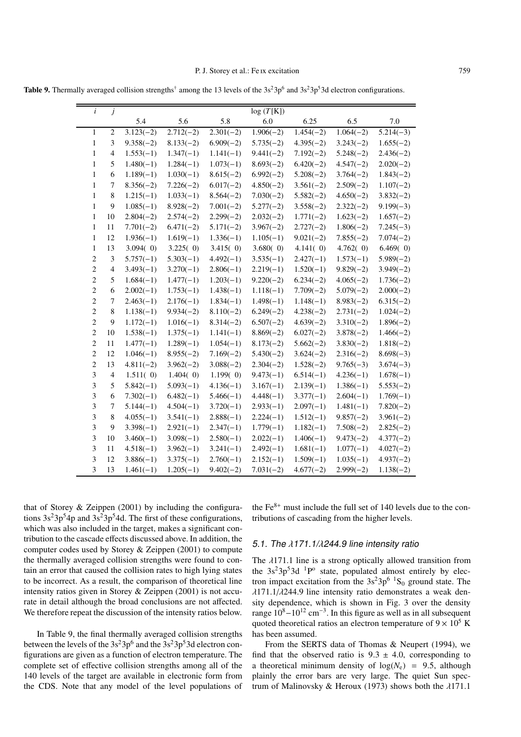Table 9. Thermally averaged collision strengths<sup>†</sup> among the 13 levels of the  $3s^23p^6$  and  $3s^23p^53d$  electron configurations.

| $\dot{i}$      | $\boldsymbol{j}$         |             |             |             | log(T[K])   |             |             |             |
|----------------|--------------------------|-------------|-------------|-------------|-------------|-------------|-------------|-------------|
|                |                          | 5.4         | 5.6         | 5.8         | 6.0         | 6.25        | 6.5         | 7.0         |
| $\mathbf{1}$   | $\overline{c}$           | $3.123(-2)$ | $2.712(-2)$ | $2.301(-2)$ | $1.906(-2)$ | $1.454(-2)$ | $1.064(-2)$ | $5.214(-3)$ |
| 1              | 3                        | $9.358(-2)$ | $8.133(-2)$ | $6.909(-2)$ | $5.735(-2)$ | $4.395(-2)$ | $3.243(-2)$ | $1.655(-2)$ |
| 1              | $\overline{4}$           | $1.553(-1)$ | $1.347(-1)$ | $1.141(-1)$ | $9.441(-2)$ | $7.192(-2)$ | $5.248(-2)$ | $2.436(-2)$ |
| $\mathbf{1}$   | 5                        | $1.480(-1)$ | $1.284(-1)$ | $1.073(-1)$ | $8.693(-2)$ | $6.420(-2)$ | $4.547(-2)$ | $2.020(-2)$ |
| $\mathbf{1}$   | 6                        | $1.189(-1)$ | $1.030(-1)$ | $8.615(-2)$ | $6.992(-2)$ | $5.208(-2)$ | $3.764(-2)$ | $1.843(-2)$ |
| $\mathbf{1}$   | $\tau$                   | $8.356(-2)$ | $7.226(-2)$ | $6.017(-2)$ | $4.850(-2)$ | $3.561(-2)$ | $2.509(-2)$ | $1.107(-2)$ |
| $\mathbf{1}$   | 8                        | $1.215(-1)$ | $1.033(-1)$ | $8.564(-2)$ | $7.030(-2)$ | $5.582(-2)$ | $4.650(-2)$ | $3.832(-2)$ |
| 1              | 9                        | $1.085(-1)$ | $8.928(-2)$ | $7.001(-2)$ | $5.277(-2)$ | $3.558(-2)$ | $2.322(-2)$ | $9.199(-3)$ |
| 1              | 10                       | $2.804(-2)$ | $2.574(-2)$ | $2.299(-2)$ | $2.032(-2)$ | $1.771(-2)$ | $1.623(-2)$ | $1.657(-2)$ |
| 1              | 11                       | $7.701(-2)$ | $6.471(-2)$ | $5.171(-2)$ | $3.967(-2)$ | $2.727(-2)$ | $1.806(-2)$ | $7.245(-3)$ |
| $\mathbf{1}$   | 12                       | $1.936(-1)$ | $1.619(-1)$ | $1.336(-1)$ | $1.105(-1)$ | $9.021(-2)$ | $7.855(-2)$ | $7.074(-2)$ |
| $\mathbf{1}$   | 13                       | 3.094(0)    | 3.225(0)    | 3.415(0)    | 3.680(0)    | 4.141(0)    | 4.762()     | 6.469(0)    |
| $\overline{c}$ | 3                        | $5.757(-1)$ | $5.303(-1)$ | $4.492(-1)$ | $3.535(-1)$ | $2.427(-1)$ | $1.573(-1)$ | $5.989(-2)$ |
| $\overline{c}$ | $\overline{\mathcal{L}}$ | $3.493(-1)$ | $3.270(-1)$ | $2.806(-1)$ | $2.219(-1)$ | $1.520(-1)$ | $9.829(-2)$ | $3.949(-2)$ |
| $\sqrt{2}$     | 5                        | $1.684(-1)$ | $1.477(-1)$ | $1.203(-1)$ | $9.220(-2)$ | $6.234(-2)$ | $4.065(-2)$ | $1.736(-2)$ |
| $\overline{c}$ | 6                        | $2.002(-1)$ | $1.753(-1)$ | $1.438(-1)$ | $1.118(-1)$ | $7.709(-2)$ | $5.079(-2)$ | $2.000(-2)$ |
| $\overline{c}$ | 7                        | $2.463(-1)$ | $2.176(-1)$ | $1.834(-1)$ | $1.498(-1)$ | $1.148(-1)$ | $8.983(-2)$ | $6.315(-2)$ |
| $\overline{c}$ | 8                        | $1.138(-1)$ | $9.934(-2)$ | $8.110(-2)$ | $6.249(-2)$ | $4.238(-2)$ | $2.731(-2)$ | $1.024(-2)$ |
| $\overline{c}$ | 9                        | $1.172(-1)$ | $1.016(-1)$ | $8.314(-2)$ | $6.507(-2)$ | $4.639(-2)$ | $3.310(-2)$ | $1.896(-2)$ |
| $\overline{2}$ | 10                       | $1.538(-1)$ | $1.375(-1)$ | $1.141(-1)$ | $8.869(-2)$ | $6.027(-2)$ | $3.878(-2)$ | $1.466(-2)$ |
| $\overline{c}$ | 11                       | $1.477(-1)$ | $1.289(-1)$ | $1.054(-1)$ | $8.173(-2)$ | $5.662(-2)$ | $3.830(-2)$ | $1.818(-2)$ |
| $\overline{c}$ | 12                       | $1.046(-1)$ | $8.955(-2)$ | $7.169(-2)$ | $5.430(-2)$ | $3.624(-2)$ | $2.316(-2)$ | $8.698(-3)$ |
| $\overline{c}$ | 13                       | $4.811(-2)$ | $3.962(-2)$ | $3.088(-2)$ | $2.304(-2)$ | $1.528(-2)$ | $9.765(-3)$ | $3.674(-3)$ |
| 3              | $\overline{4}$           | 1.511(0)    | 1.404(0)    | 1.199(0)    | $9.473(-1)$ | $6.514(-1)$ | $4.236(-1)$ | $1.678(-1)$ |
| 3              | 5                        | $5.842(-1)$ | $5.093(-1)$ | $4.136(-1)$ | $3.167(-1)$ | $2.139(-1)$ | $1.386(-1)$ | $5.553(-2)$ |
| 3              | 6                        | $7.302(-1)$ | $6.482(-1)$ | $5.466(-1)$ | $4.448(-1)$ | $3.377(-1)$ | $2.604(-1)$ | $1.769(-1)$ |
| 3              | $\boldsymbol{7}$         | $5.144(-1)$ | $4.504(-1)$ | $3.720(-1)$ | $2.933(-1)$ | $2.097(-1)$ | $1.481(-1)$ | $7.820(-2)$ |
| 3              | 8                        | $4.055(-1)$ | $3.541(-1)$ | $2.888(-1)$ | $2.224(-1)$ | $1.512(-1)$ | $9.857(-2)$ | $3.961(-2)$ |
| 3              | 9                        | $3.398(-1)$ | $2.921(-1)$ | $2.347(-1)$ | $1.779(-1)$ | $1.182(-1)$ | $7.508(-2)$ | $2.825(-2)$ |
| 3              | 10                       | $3.460(-1)$ | $3.098(-1)$ | $2.580(-1)$ | $2.022(-1)$ | $1.406(-1)$ | $9.473(-2)$ | $4.377(-2)$ |
| 3              | 11                       | $4.518(-1)$ | $3.962(-1)$ | $3.241(-1)$ | $2.492(-1)$ | $1.681(-1)$ | $1.077(-1)$ | $4.027(-2)$ |
| 3              | 12                       | $3.886(-1)$ | $3.375(-1)$ | $2.760(-1)$ | $2.152(-1)$ | $1.509(-1)$ | $1.035(-1)$ | $4.937(-2)$ |
| 3              | 13                       | $1.461(-1)$ | $1.205(-1)$ | $9.402(-2)$ | $7.031(-2)$ | $4.677(-2)$ | $2.999(-2)$ | $1.138(-2)$ |

that of Storey & Zeippen (2001) by including the configurations  $3s^23p^54p$  and  $3s^23p^54d$ . The first of these configurations, which was also included in the target, makes a significant contribution to the cascade effects discussed above. In addition, the computer codes used by Storey & Zeippen (2001) to compute the thermally averaged collision strengths were found to contain an error that caused the collision rates to high lying states to be incorrect. As a result, the comparison of theoretical line intensity ratios given in Storey & Zeippen (2001) is not accurate in detail although the broad conclusions are not affected. We therefore repeat the discussion of the intensity ratios below.

In Table 9, the final thermally averaged collision strengths between the levels of the  $3s^23p^6$  and the  $3s^23p^53d$  electron configurations are given as a function of electron temperature. The complete set of effective collision strengths among all of the 140 levels of the target are available in electronic form from the CDS. Note that any model of the level populations of

the  $Fe<sup>8+</sup>$  must include the full set of 140 levels due to the contributions of cascading from the higher levels.

## 5.1. The  $\lambda$ 171.1/ $\lambda$ 244.9 line intensity ratio

The  $\lambda$ 171.1 line is a strong optically allowed transition from the  $3s<sup>2</sup>3p<sup>5</sup>3d<sup>-1</sup>P<sup>o</sup>$  state, populated almost entirely by electron impact excitation from the  $3s^23p^6$  <sup>1</sup>S<sub>0</sub> ground state. The  $\lambda$ 171.1/ $\lambda$ 244.9 line intensity ratio demonstrates a weak density dependence, which is shown in Fig. 3 over the density range  $10^8 - 10^{12}$  cm<sup>-3</sup>. In this figure as well as in all subsequent quoted theoretical ratios an electron temperature of  $9 \times 10^5$  K has been assumed.

From the SERTS data of Thomas & Neupert (1994), we find that the observed ratio is  $9.3 \pm 4.0$ , corresponding to a theoretical minimum density of  $log(N_e)$  = 9.5, although plainly the error bars are very large. The quiet Sun spectrum of Malinovsky & Heroux (1973) shows both the  $\lambda$ 171.1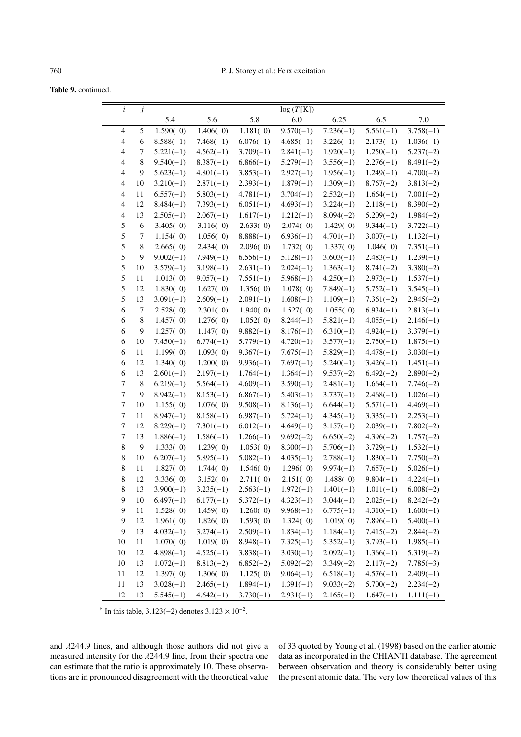Table 9. continued.

| $\dot{i}$      | $\ensuremath{\boldsymbol{j}}$ |                      |                         |                            | log(T[K])                  |                            |                            |                            |
|----------------|-------------------------------|----------------------|-------------------------|----------------------------|----------------------------|----------------------------|----------------------------|----------------------------|
|                |                               | 5.4                  | 5.6                     | 5.8                        | 6.0                        | 6.25                       | 6.5                        | 7.0                        |
| $\overline{4}$ | 5                             | 1.590(0)             | 1.406(0)                | 1.181(0)                   | $9.570(-1)$                | $7.236(-1)$                | $5.561(-1)$                | $3.758(-1)$                |
| $\overline{4}$ | 6                             | $8.588(-1)$          | $7.468(-1)$             | $6.076(-1)$                | $4.685(-1)$                | $3.226(-1)$                | $2.173(-1)$                | $1.036(-1)$                |
| $\overline{4}$ | 7                             | $5.221(-1)$          | $4.562(-1)$             | $3.709(-1)$                | $2.841(-1)$                | $1.920(-1)$                | $1.250(-1)$                | $5.237(-2)$                |
| $\overline{4}$ | 8                             | $9.540(-1)$          | $8.387(-1)$             | $6.866(-1)$                | $5.279(-1)$                | $3.556(-1)$                | $2.276(-1)$                | $8.491(-2)$                |
| $\overline{4}$ | 9                             | $5.623(-1)$          | $4.801(-1)$             | $3.853(-1)$                | $2.927(-1)$                | $1.956(-1)$                | $1.249(-1)$                | $4.700(-2)$                |
| $\overline{4}$ | 10                            | $3.210(-1)$          | $2.871(-1)$             | $2.393(-1)$                | $1.879(-1)$                | $1.309(-1)$                | $8.767(-2)$                | $3.813(-2)$                |
| $\overline{4}$ | 11                            | $6.557(-1)$          | $5.803(-1)$             | $4.781(-1)$                | $3.704(-1)$                | $2.532(-1)$                | $1.664(-1)$                | $7.001(-2)$                |
| $\overline{4}$ | 12                            | $8.484(-1)$          | $7.393(-1)$             | $6.051(-1)$                | $4.693(-1)$                | $3.224(-1)$                | $2.118(-1)$                | $8.390(-2)$                |
| $\overline{4}$ | 13                            | $2.505(-1)$          | $2.067(-1)$             | $1.617(-1)$                | $1.212(-1)$                | $8.094(-2)$                | $5.209(-2)$                | $1.984(-2)$                |
| 5              | $\sqrt{6}$                    | 3.405(0)             | 3.116(0)                | 2.633(0)                   | 2.074(0)                   | 1.429(0)                   | $9.344(-1)$                | $3.722(-1)$                |
| 5              | 7                             | 1.154(0)             | 1.056(0)                | $8.888(-1)$                | $6.936(-1)$                | $4.701(-1)$                | $3.007(-1)$                | $1.132(-1)$                |
| 5              | 8                             | 2.665(0)             | 2.434(0)                | 2.096(0)                   | 1.732(0)                   | 1.337(0)                   | 1.046(0)                   | $7.351(-1)$                |
| 5              | 9                             | $9.002(-1)$          | $7.949(-1)$             | $6.556(-1)$                | $5.128(-1)$                | $3.603(-1)$                | $2.483(-1)$                | $1.239(-1)$                |
| 5              | 10                            | $3.579(-1)$          | $3.198(-1)$             | $2.631(-1)$                | $2.024(-1)$                | $1.363(-1)$                | $8.741(-2)$                | $3.380(-2)$                |
| 5              | 11                            | 1.013(0)             | $9.057(-1)$             | $7.551(-1)$                | $5.968(-1)$                | $4.250(-1)$                | $2.973(-1)$                | $1.537(-1)$                |
| 5              | 12                            | 1.830(0)             | 1.627(0)                | 1.356(0)                   | 1.078(0)                   | $7.849(-1)$                | $5.752(-1)$                | $3.545(-1)$                |
| $\mathfrak s$  | 13                            | $3.091(-1)$          | $2.609(-1)$             | $2.091(-1)$                | $1.608(-1)$                | $1.109(-1)$                | $7.361(-2)$                | $2.945(-2)$                |
| 6              | $\tau$                        | 2.528(0)             | 2.301(0)                | 1.940(0)                   | 1.527(0)                   | 1.055(0)                   | $6.934(-1)$                | $2.813(-1)$                |
| 6              | $8\,$                         | 1.457(0)             | 1.276(0)                | 1.052(0)                   | $8.244(-1)$                | $5.821(-1)$                | $4.055(-1)$                | $2.146(-1)$                |
| 6              | 9                             | 1.257(0)             | 1.147(0)                | $9.882(-1)$                | $8.176(-1)$                | $6.310(-1)$                | $4.924(-1)$                | $3.379(-1)$                |
| 6              | 10                            | $7.450(-1)$          | $6.774(-1)$             | $5.779(-1)$                | $4.720(-1)$                | $3.577(-1)$                | $2.750(-1)$                | $1.875(-1)$                |
| 6              | 11                            | 1.199(0)<br>1.340(0) | 1.093(0)                | $9.367(-1)$                | $7.675(-1)$                | $5.829(-1)$                | $4.478(-1)$                | $3.030(-1)$                |
| 6<br>6         | 12<br>13                      | $2.601(-1)$          | 1.200(0)<br>$2.197(-1)$ | $9.936(-1)$<br>$1.764(-1)$ | $7.697(-1)$<br>$1.364(-1)$ | $5.240(-1)$<br>$9.537(-2)$ | $3.426(-1)$<br>$6.492(-2)$ | $1.451(-1)$<br>$2.890(-2)$ |
| 7              | $\,8\,$                       | $6.219(-1)$          | $5.564(-1)$             | $4.609(-1)$                | $3.590(-1)$                | $2.481(-1)$                | $1.664(-1)$                | $7.746(-2)$                |
| 7              | 9                             | $8.942(-1)$          | $8.153(-1)$             | $6.867(-1)$                | $5.403(-1)$                | $3.737(-1)$                | $2.468(-1)$                | $1.026(-1)$                |
| 7              | 10                            | 1.155(0)             | 1.076(0)                | $9.508(-1)$                | $8.136(-1)$                | $6.644(-1)$                | $5.571(-1)$                | $4.469(-1)$                |
| 7              | 11                            | $8.947(-1)$          | $8.158(-1)$             | $6.987(-1)$                | $5.724(-1)$                | $4.345(-1)$                | $3.335(-1)$                | $2.253(-1)$                |
| 7              | 12                            | $8.229(-1)$          | $7.301(-1)$             | $6.012(-1)$                | $4.649(-1)$                | $3.157(-1)$                | $2.039(-1)$                | $7.802(-2)$                |
| 7              | 13                            | $1.886(-1)$          | $1.586(-1)$             | $1.266(-1)$                | $9.692(-2)$                | $6.650(-2)$                | $4.396(-2)$                | $1.757(-2)$                |
| $\,$ 8 $\,$    | 9                             | 1.333(0)             | 1.239(0)                | 1.053(0)                   | $8.300(-1)$                | $5.706(-1)$                | $3.729(-1)$                | $1.532(-1)$                |
| $\,$ 8 $\,$    | 10                            | $6.207(-1)$          | $5.895(-1)$             | $5.082(-1)$                | $4.035(-1)$                | $2.788(-1)$                | $1.830(-1)$                | $7.750(-2)$                |
| $\,$ 8 $\,$    | 11                            | 1.827(0)             | 1.744(0)                | 1.546(0)                   | 1.296(0)                   | $9.974(-1)$                | $7.657(-1)$                | $5.026(-1)$                |
| $\,$ 8 $\,$    | $12\,$                        | 3.336(0)             | 3.152(0)                | 2.711(0)                   | 2.151(0)                   | 1.488(0)                   | $9.804(-1)$                | $4.224(-1)$                |
| 8              | 13                            | $3.900(-1)$          | $3.235(-1)$             | $2.563(-1)$                |                            | $1.972(-1)$ $1.401(-1)$    |                            | $1.011(-1)$ $6.008(-2)$    |
| 9              | 10                            | $6.497(-1)$          | $6.177(-1)$             | $5.372(-1)$                | $4.323(-1)$                | $3.044(-1)$                | $2.025(-1)$                | $8.242(-2)$                |
| 9              | 11                            | 1.528(0)             | 1.459(0)                | 1.260(0)                   | $9.968(-1)$                | $6.775(-1)$                | $4.310(-1)$                | $1.600(-1)$                |
| 9              | 12                            | 1.961(0)             | 1.826(0)                | 1.593(0)                   | 1.324(0)                   | 1.019(0)                   | $7.896(-1)$                | $5.400(-1)$                |
| 9              | 13                            | $4.032(-1)$          | $3.274(-1)$             | $2.509(-1)$                | $1.834(-1)$                | $1.184(-1)$                | $7.415(-2)$                | $2.844(-2)$                |
| 10             | 11                            | 1.070(0)             | 1.019(0)                | $8.948(-1)$                | $7.325(-1)$                | $5.352(-1)$                | $3.793(-1)$                | $1.985(-1)$                |
| 10             | 12                            | $4.898(-1)$          | $4.525(-1)$             | $3.838(-1)$                | $3.030(-1)$                | $2.092(-1)$                | $1.366(-1)$                | $5.319(-2)$                |
| 10             | 13                            | $1.072(-1)$          | $8.813(-2)$             | $6.852(-2)$                | $5.092(-2)$                | $3.349(-2)$                | $2.117(-2)$                | $7.785(-3)$                |
| 11             | 12                            | 1.397(0)             | 1.306(0)                | 1.125(0)                   | $9.064(-1)$                | $6.518(-1)$                | $4.576(-1)$                | $2.409(-1)$                |
| 11             | 13                            | $3.028(-1)$          | $2.465(-1)$             | $1.894(-1)$                | $1.391(-1)$                | $9.033(-2)$                | $5.700(-2)$                | $2.234(-2)$                |
| 12             | 13                            | $5.545(-1)$          | $4.642(-1)$             | $3.730(-1)$                | $2.931(-1)$                | $2.165(-1)$                | $1.647(-1)$                | $1.111(-1)$                |

<sup>†</sup> In this table, 3.123(−2) denotes  $3.123 \times 10^{-2}$ .

and λ244.9 lines, and although those authors did not give a measured intensity for the λ244.9 line, from their spectra one can estimate that the ratio is approximately 10. These observations are in pronounced disagreement with the theoretical value of 33 quoted by Young et al. (1998) based on the earlier atomic data as incorporated in the CHIANTI database. The agreement between observation and theory is considerably better using the present atomic data. The very low theoretical values of this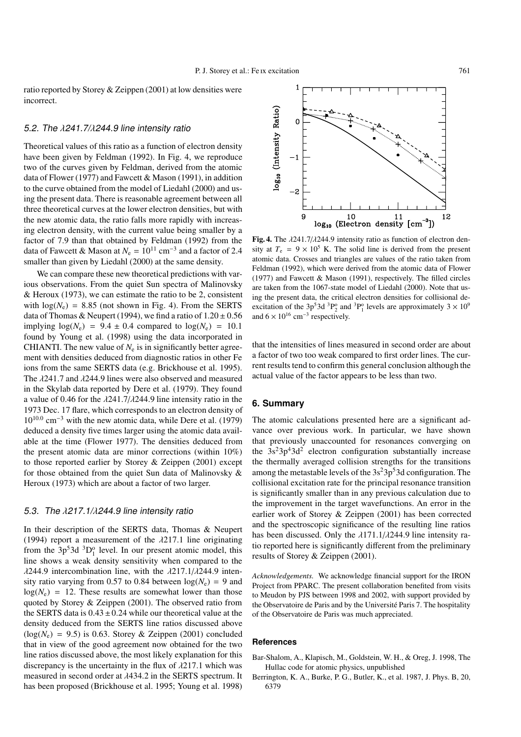ratio reported by Storey & Zeippen (2001) at low densities were incorrect.

#### 5.2. The λ241.7/λ244.9 line intensity ratio

Theoretical values of this ratio as a function of electron density have been given by Feldman (1992). In Fig. 4, we reproduce two of the curves given by Feldman, derived from the atomic data of Flower (1977) and Fawcett & Mason (1991), in addition to the curve obtained from the model of Liedahl (2000) and using the present data. There is reasonable agreement between all three theoretical curves at the lower electron densities, but with the new atomic data, the ratio falls more rapidly with increasing electron density, with the current value being smaller by a factor of 7.9 than that obtained by Feldman (1992) from the data of Fawcett & Mason at  $N_e = 10^{11}$  cm<sup>-3</sup> and a factor of 2.4 smaller than given by Liedahl (2000) at the same density.

We can compare these new theoretical predictions with various observations. From the quiet Sun spectra of Malinovsky & Heroux (1973), we can estimate the ratio to be 2, consistent with  $log(N_e) = 8.85$  (not shown in Fig. 4). From the SERTS data of Thomas & Neupert (1994), we find a ratio of  $1.20 \pm 0.56$ implying  $log(N_e) = 9.4 \pm 0.4$  compared to  $log(N_e) = 10.1$ found by Young et al. (1998) using the data incorporated in CHIANTI. The new value of  $N_e$  is in significantly better agreement with densities deduced from diagnostic ratios in other Fe ions from the same SERTS data (e.g. Brickhouse et al. 1995). The λ241.7 and λ244.9 lines were also observed and measured in the Skylab data reported by Dere et al. (1979). They found a value of 0.46 for the  $\lambda$ 241.7/ $\lambda$ 244.9 line intensity ratio in the 1973 Dec. 17 flare, which corresponds to an electron density of 10<sup>10</sup>.<sup>0</sup> cm−<sup>3</sup> with the new atomic data, while Dere et al. (1979) deduced a density five times larger using the atomic data available at the time (Flower 1977). The densities deduced from the present atomic data are minor corrections (within 10%) to those reported earlier by Storey & Zeippen (2001) except for those obtained from the quiet Sun data of Malinovsky & Heroux (1973) which are about a factor of two larger.

## 5.3. The  $λ217.1/λ244.9$  line intensity ratio

In their description of the SERTS data, Thomas & Neupert (1994) report a measurement of the  $\lambda$ 217.1 line originating from the  $3p^53d^3D_1^{\circ}$  level. In our present atomic model, this line shows a weak density sensitivity when compared to the  $\lambda$ 244.9 intercombination line, with the  $\lambda$ 217.1/ $\lambda$ 244.9 intensity ratio varying from 0.57 to 0.84 between  $log(N_e) = 9$  and  $log(N_e) = 12$ . These results are somewhat lower than those quoted by Storey & Zeippen (2001). The observed ratio from the SERTS data is  $0.43 \pm 0.24$  while our theoretical value at the density deduced from the SERTS line ratios discussed above  $(log(N_e) = 9.5)$  is 0.63. Storey & Zeippen (2001) concluded that in view of the good agreement now obtained for the two line ratios discussed above, the most likely explanation for this discrepancy is the uncertainty in the flux of  $\lambda$ 217.1 which was measured in second order at λ434.2 in the SERTS spectrum. It has been proposed (Brickhouse et al. 1995; Young et al. 1998)



Fig. 4. The  $\lambda$ 241.7/ $\lambda$ 244.9 intensity ratio as function of electron density at  $T_e = 9 \times 10^5$  K. The solid line is derived from the present atomic data. Crosses and triangles are values of the ratio taken from Feldman (1992), which were derived from the atomic data of Flower (1977) and Fawcett & Mason (1991), respectively. The filled circles are taken from the 1067-state model of Liedahl (2000). Note that using the present data, the critical electron densities for collisional deexcitation of the  $3p^53d^3P_2^o$  and  $3P_1^o$  levels are approximately  $3 \times 10^9$ and  $6 \times 10^{16}$  cm<sup>-3</sup> respectively.

that the intensities of lines measured in second order are about a factor of two too weak compared to first order lines. The current results tend to confirm this general conclusion although the actual value of the factor appears to be less than two.

#### **6. Summary**

The atomic calculations presented here are a significant advance over previous work. In particular, we have shown that previously unaccounted for resonances converging on the  $3s<sup>2</sup>3p<sup>4</sup>3d<sup>2</sup>$  electron configuration substantially increase the thermally averaged collision strengths for the transitions among the metastable levels of the  $3s<sup>2</sup>3p<sup>5</sup>3d$  configuration. The collisional excitation rate for the principal resonance transition is significantly smaller than in any previous calculation due to the improvement in the target wavefunctions. An error in the earlier work of Storey & Zeippen (2001) has been corrected and the spectroscopic significance of the resulting line ratios has been discussed. Only the  $\lambda$ 171.1/ $\lambda$ 244.9 line intensity ratio reported here is significantly different from the preliminary results of Storey & Zeippen (2001).

*Acknowledgements.* We acknowledge financial support for the IRON Project from PPARC. The present collaboration benefited from visits to Meudon by PJS between 1998 and 2002, with support provided by the Observatoire de Paris and by the Université Paris 7. The hospitality of the Observatoire de Paris was much appreciated.

#### **References**

- Bar-Shalom, A., Klapisch, M., Goldstein, W. H., & Oreg, J. 1998, The Hullac code for atomic physics, unpublished
- Berrington, K. A., Burke, P. G., Butler, K., et al. 1987, J. Phys. B, 20, 6379